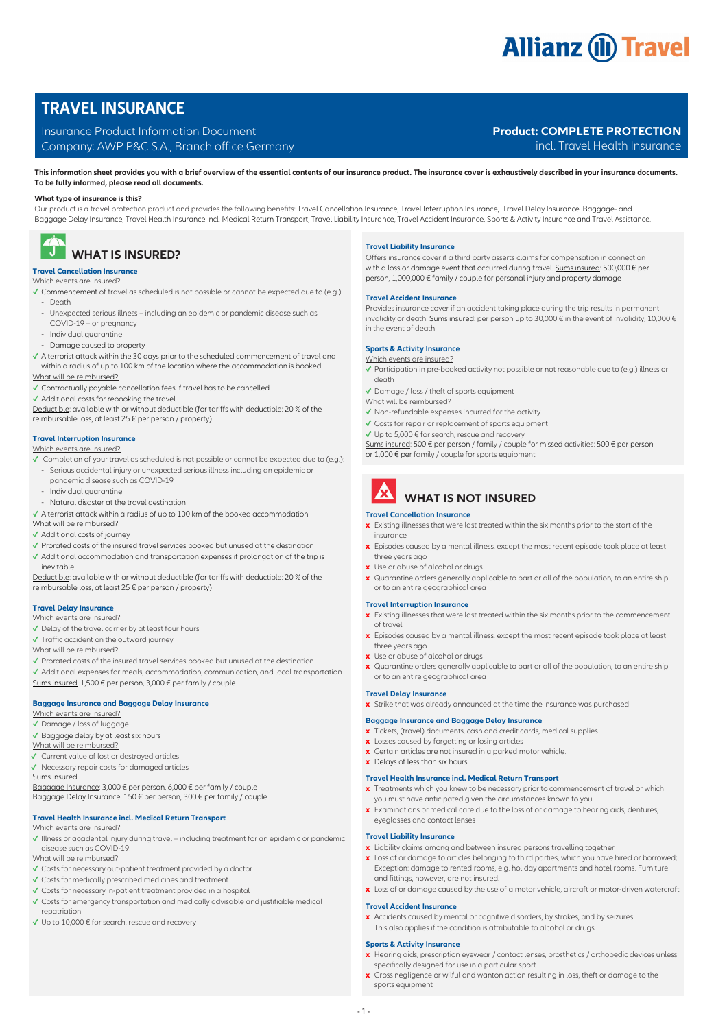# **Allianz (ii) Travel**

## **TRAVEL INSURANCE**

#### Insurance Product Information Document

Company: AWP P&C S.A., Branch office Germany

### **Product: COMPLETE PROTECTION**

incl. Travel Health Insurance

**This information sheet provides you with a brief overview of the essential contents of our insurance product. The insurance cover is exhaustively described in your insurance documents. To be fully informed, please read all documents.**

#### **What type of insurance is this?**

Our product is a travel protection product and provides the following benefits: Travel Cancellation Insurance, Travel Interruption Insurance, Travel Delay Insurance, Baggage- and Baggage Delay Insurance, Travel Health Insurance incl. Medical Return Transport, Travel Liability Insurance, Travel Accident Insurance, Sports & Activity Insurance and Travel Assistance.



# *U* WHAT IS INSURED?

#### **Travel Cancellation Insurance** Which events are insured?

**✓** Commencement of travel as scheduled is not possible or cannot be expected due to (e.g.):

- Death
- Unexpected serious illness including an epidemic or pandemic disease such as
- COVID-19 or pregnancy
- Individual quarantine
- Damage caused to property

#### **✓** A terrorist attack within the 30 days prior to the scheduled commencement of travel and within a radius of up to 100 km of the location where the accommodation is booked What will be reimbursed?

- **✓** Contractually payable cancellation fees if travel has to be cancelled
- **✓** Additional costs for rebooking the travel

Deductible: available with or without deductible (for tariffs with deductible: 20 % of the reimbursable loss, at least 25 € per person / property)

#### **Travel Interruption Insurance**

### Which events are insured?

- **✓** Completion of your travel as scheduled is not possible or cannot be expected due to (e.g.): - Serious accidental injury or unexpected serious illness including an epidemic or
- pandemic disease such as COVID-19
- Individual quarantine
- Natural disaster at the travel destination
- **✓** A terrorist attack within a radius of up to 100 km of the booked accommodation

#### What will be reimbursed?

- **✓** Additional costs of journey
- **✓** Prorated costs of the insured travel services booked but unused at the destination **✓** Additional accommodation and transportation expenses if prolongation of the trip is inevitable

Deductible: available with or without deductible (for tariffs with deductible: 20 % of the reimbursable loss, at least 25 € per person / property)

#### **Travel Delay Insurance**

- Which events are insured?
- **✓** Delay of the travel carrier by at least four hours
- **✓** Traffic accident on the outward journey

#### What will be reimbursed?

- **✓** Prorated costs of the insured travel services booked but unused at the destination
- **✓** Additional expenses for meals, accommodation, communication, and local transportation Sums insured: 1,500 € per person, 3,000 € per family / couple

#### **Baggage Insurance and Baggage Delay Insurance**

#### Which events are insured?

- **✓** Damage / loss of luggage
- **✓** Baggage delay by at least six hours
- What will be reimbursed?
- **✓** Current value of lost or destroyed articles
- **✓** Necessary repair costs for damaged articles
- Sums insured:

Baggage Insurance: 3,000 € per person, 6,000 € per family / couple Baggage Delay Insurance: 150 € per person, 300 € per family / couple

#### **Travel Health Insurance incl. Medical Return Transport**  Which events are insured?

**✓** Illness or accidental injury during travel – including treatment for an epidemic or pandemic disease such as COVID-19.

#### What will be reimbursed?

- **✓** Costs for necessary out-patient treatment provided by a doctor
- **✓** Costs for medically prescribed medicines and treatment
- **✓** Costs for necessary in-patient treatment provided in a hospital
- **✓** Costs for emergency transportation and medically advisable and justifiable medical repatriation
- **✓** Up to 10,000 € for search, rescue and recovery

#### **Travel Liability Insurance**

Offers insurance cover if a third party asserts claims for compensation in connection with a loss or damage event that occurred during travel. Sums insured: 500,000 € per person, 1,000,000 € family / couple for personal injury and property damage

#### **Travel Accident Insurance**

Provides insurance cover if an accident taking place during the trip results in permanent invalidity or death. Sums insured: per person up to 30,000 € in the event of invalidity, 10,000 € in the event of death

#### **Sports & Activity Insurance** Which events are insured?

- **✓** Participation in pre-booked activity not possible or not reasonable due to (e.g.) illness or death
- **✓** Damage / loss / theft of sports equipment
- What will be reimbursed?
- **✓** Non-refundable expenses incurred for the activity
- **✓** Costs for repair or replacement of sports equipment
- **✓** Up to 5,000 € for search, rescue and recovery
- Sums insured: 500 € per person / family / couple for missed activities: 500 € per person or 1,000 € per family / couple for sports equipment
	-

## **X** WHAT IS NOT INSURED

#### **Travel Cancellation Insurance**

- **x** Existing illnesses that were last treated within the six months prior to the start of the insurance
- **x** Episodes caused by a mental illness, except the most recent episode took place at least three years ago
- **x** Use or abuse of alcohol or drugs
- **x** Quarantine orders generally applicable to part or all of the population, to an entire ship or to an entire geographical area

#### **Travel Interruption Insurance**

- **x** Existing illnesses that were last treated within the six months prior to the commencement of travel
- **x** Episodes caused by a mental illness, except the most recent episode took place at least three years ago
- **x** Use or abuse of alcohol or drugs
- **x** Quarantine orders generally applicable to part or all of the population, to an entire ship or to an entire geographical area

#### **Travel Delay Insurance**

**x** Strike that was already announced at the time the insurance was purchased

#### **Baggage Insurance and Baggage Delay Insurance**

- **x** Tickets, (travel) documents, cash and credit cards, medical supplies
- **x** Losses caused by forgetting or losing articles
- **x** Certain articles are not insured in a parked motor vehicle.
- **x** Delays of less than six hours

#### **Travel Health Insurance incl. Medical Return Transport**

- **x** Treatments which you knew to be necessary prior to commencement of travel or which you must have anticipated given the circumstances known to you
- **x** Examinations or medical care due to the loss of or damage to hearing aids, dentures, eyeglasses and contact lenses

#### **Travel Liability Insurance**

- **x** Liability claims among and between insured persons travelling together
- **x** Loss of or damage to articles belonging to third parties, which you have hired or borrowed; Exception: damage to rented rooms, e.g. holiday apartments and hotel rooms. Furniture and fittings, however, are not insured.
- **x** Loss of or damage caused by the use of a motor vehicle, aircraft or motor-driven watercraft

#### **Travel Accident Insurance**

- 1 -

**x** Accidents caused by mental or cognitive disorders, by strokes, and by seizures. This also applies if the condition is attributable to alcohol or drugs.

#### **Sports & Activity Insurance**

- **x** Hearing aids, prescription eyewear / contact lenses, prosthetics / orthopedic devices unless specifically designed for use in a particular sport
- **x** Gross negligence or wilful and wanton action resulting in loss, theft or damage to the sports equipment